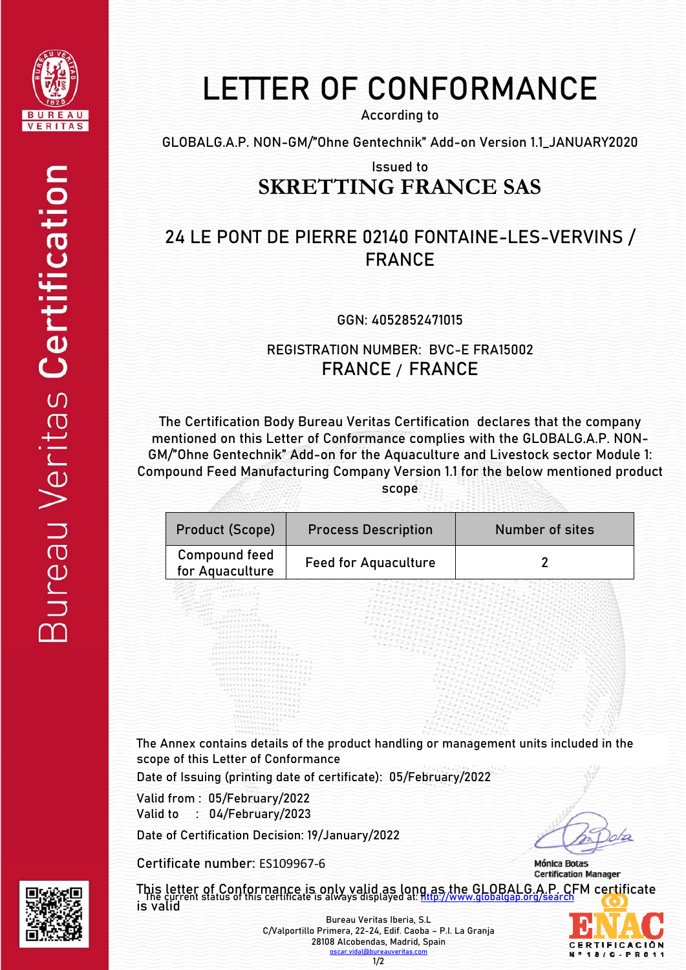

## LETTER OF CONFORMANCE

According to

GLOBALG.A.P. NON-GM/"Ohne Gentechnik" Add-on Version 1.1\_JANUARY2020

Issued to

## **SKRETTING FRANCE SAS**

## 24 LE PONT DE PIERRE 02140 FONTAINE-LES-VERVINS / FRANCE

GGN: 4052852471015

REGISTRATION NUMBER: BVC-E FRA15002 FRANCE / FRANCE

The Certification Body Bureau Veritas Certification declares that the company mentioned on this Letter of Conformance complies with the GLOBALG.A.P. NON-GM/"Ohne Gentechnik" Add-on for the Aquaculture and Livestock sector Module 1: Compound Feed Manufacturing Company Version 1.1 for the below mentioned product scope

| Product (Scope)                         | <b>Process Description</b>  | Number of sites |
|-----------------------------------------|-----------------------------|-----------------|
| <b>Compound feed</b><br>for Aquaculture | <b>Feed for Aquaculture</b> |                 |

The Annex contains details of the product handling or management units included in the scope of this Letter of Conformance

Date of Issuing (printing date of certificate): 05/February/2022

Valid from : 05/February/2022 Valid to : 04/February/2023

Date of Certification Decision: 19/January/2022

Certificate number: ES109967‐6

is valid



Mónica Botas **Certification Manager** This letter of Conformance is only valid as long as the GLOBALG A.P. CFM certificate<br>The current status of this certificate is always displayed at: http://www.globalgap.org/search

**CERTIFICACIÓN**  $C - F$ 



Bureau Veritas Iberia, S.L C/Valportillo Primera, 22-24, Edif. Caoba – P.I. La Granja 28108 Alcobendas, Madrid, Spain oscar.vir